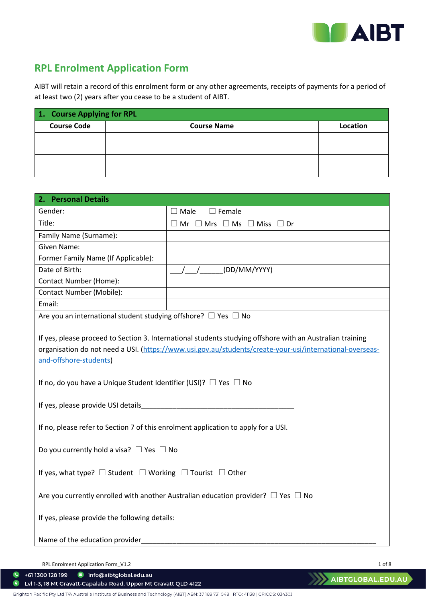

# **RPL Enrolment Application Form**

AIBT will retain a record of this enrolment form or any other agreements, receipts of payments for a period of at least two (2) years after you cease to be a student of AIBT.

| 1. Course Applying for RPL |                    |          |
|----------------------------|--------------------|----------|
| <b>Course Code</b>         | <b>Course Name</b> | Location |
|                            |                    |          |
|                            |                    |          |
|                            |                    |          |
|                            |                    |          |

| 2. Personal Details                                                                                                                                                                                                                                                                                                           |                                                                     |  |
|-------------------------------------------------------------------------------------------------------------------------------------------------------------------------------------------------------------------------------------------------------------------------------------------------------------------------------|---------------------------------------------------------------------|--|
| Gender:                                                                                                                                                                                                                                                                                                                       | $\square$ Female<br>$\Box$ Male                                     |  |
| Title:                                                                                                                                                                                                                                                                                                                        | $\square$ Mr $\square$ Mrs $\square$ Ms $\square$ Miss $\square$ Dr |  |
| Family Name (Surname):                                                                                                                                                                                                                                                                                                        |                                                                     |  |
| Given Name:                                                                                                                                                                                                                                                                                                                   |                                                                     |  |
| Former Family Name (If Applicable):                                                                                                                                                                                                                                                                                           |                                                                     |  |
| Date of Birth:                                                                                                                                                                                                                                                                                                                | (DD/MM/YYYY)                                                        |  |
| Contact Number (Home):                                                                                                                                                                                                                                                                                                        |                                                                     |  |
| <b>Contact Number (Mobile):</b>                                                                                                                                                                                                                                                                                               |                                                                     |  |
| Email:                                                                                                                                                                                                                                                                                                                        |                                                                     |  |
| Are you an international student studying offshore? $\Box$ Yes $\Box$ No                                                                                                                                                                                                                                                      |                                                                     |  |
| If yes, please proceed to Section 3. International students studying offshore with an Australian training<br>organisation do not need a USI. (https://www.usi.gov.au/students/create-your-usi/international-overseas-<br>and-offshore-students)<br>If no, do you have a Unique Student Identifier (USI)? $\Box$ Yes $\Box$ No |                                                                     |  |
| If yes, please provide USI details_________                                                                                                                                                                                                                                                                                   |                                                                     |  |
| If no, please refer to Section 7 of this enrolment application to apply for a USI.                                                                                                                                                                                                                                            |                                                                     |  |
| Do you currently hold a visa? $\Box$ Yes $\Box$ No                                                                                                                                                                                                                                                                            |                                                                     |  |
| If yes, what type? $\Box$ Student $\Box$ Working $\Box$ Tourist $\Box$ Other                                                                                                                                                                                                                                                  |                                                                     |  |
| Are you currently enrolled with another Australian education provider? $\Box$ Yes $\Box$ No                                                                                                                                                                                                                                   |                                                                     |  |
| If yes, please provide the following details:                                                                                                                                                                                                                                                                                 |                                                                     |  |
| Name of the education provider                                                                                                                                                                                                                                                                                                |                                                                     |  |

RPL Enrolment Application Form\_V1.2 1 of 8

+61 1300 128 199 nfo@aibtglobal.edu.au

 $\bullet$ Lvl 1-3, 18 Mt Gravatt-Capalaba Road, Upper Mt Gravatt QLD 4122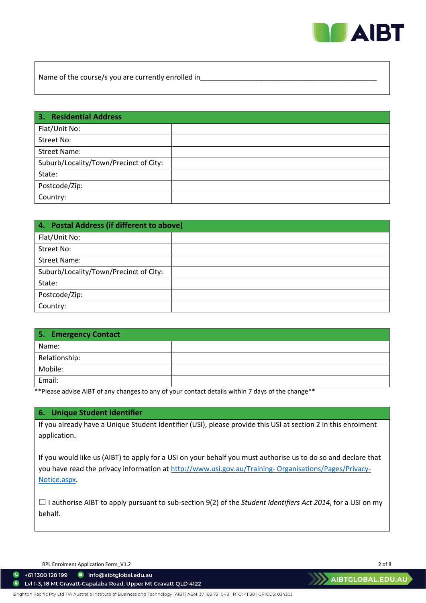

Name of the course/s you are currently enrolled in

| 3. Residential Address                 |  |
|----------------------------------------|--|
| Flat/Unit No:                          |  |
| Street No:                             |  |
| <b>Street Name:</b>                    |  |
| Suburb/Locality/Town/Precinct of City: |  |
| State:                                 |  |
| Postcode/Zip:                          |  |
| Country:                               |  |

| 4. Postal Address (if different to above) |  |  |
|-------------------------------------------|--|--|
| Flat/Unit No:                             |  |  |
| Street No:                                |  |  |
| Street Name:                              |  |  |
| Suburb/Locality/Town/Precinct of City:    |  |  |
| State:                                    |  |  |
| Postcode/Zip:                             |  |  |
| Country:                                  |  |  |

| 5. Emergency Contact |  |
|----------------------|--|
| Name:                |  |
| Relationship:        |  |
| Mobile:              |  |
| Email:               |  |

\*\*Please advise AIBT of any changes to any of your contact details within 7 days of the change\*\*

# **6. Unique Student Identifier**

If you already have a Unique Student Identifier (USI), please provide this USI at section 2 in this enrolment application.

If you would like us (AIBT) to apply for a USI on your behalf you must authorise us to do so and declare that you have read the privacy information at http://www.usi.gov.au/Training-Organisations/Pages/Privacy-[Notice.aspx.](http://www.usi.gov.au/Training-%20Organisations/Pages/Privacy-Notice.aspx)

☐ I authorise AIBT to apply pursuant to sub-section 9(2) of the *Student Identifiers Act 2014*, for a USI on my behalf.

RPL Enrolment Application Form\_V1.2 2 of 8

+61 1300 128 199 nfo@aibtglobal.edu.au

Lvl 1-3, 18 Mt Gravatt-Capalaba Road, Upper Mt Gravatt QLD 4122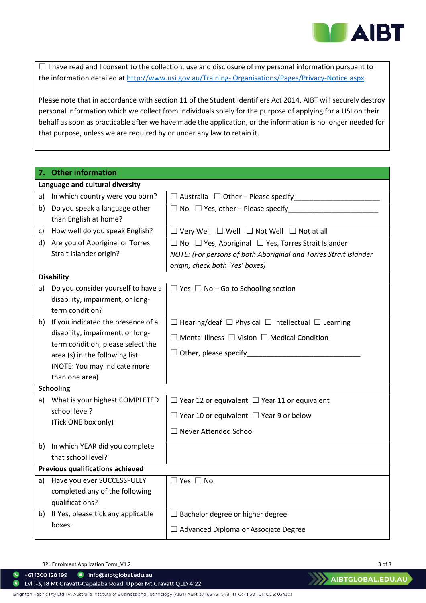

 $\Box$  I have read and I consent to the collection, use and disclosure of my personal information pursuant to the information detailed at [http://www.usi.gov.au/Training- Organisations/Pages/Privacy-Notice.aspx.](http://www.usi.gov.au/Training-%20Organisations/Pages/Privacy-Notice.aspx)

Please note that in accordance with section 11 of the Student Identifiers Act 2014, AIBT will securely destroy personal information which we collect from individuals solely for the purpose of applying for a USI on their behalf as soon as practicable after we have made the application, or the information is no longer needed for that purpose, unless we are required by or under any law to retain it.

|                                      | 7. Other information                                           |                                                                         |  |  |
|--------------------------------------|----------------------------------------------------------------|-------------------------------------------------------------------------|--|--|
|                                      | Language and cultural diversity                                |                                                                         |  |  |
|                                      | a) In which country were you born?                             | $\Box$ Australia $\Box$ Other – Please specify                          |  |  |
| b)                                   | Do you speak a language other                                  |                                                                         |  |  |
|                                      | than English at home?                                          |                                                                         |  |  |
| C)                                   | How well do you speak English?                                 | $\Box$ Very Well $\Box$ Well $\Box$ Not Well $\Box$ Not at all          |  |  |
|                                      | d) Are you of Aboriginal or Torres                             | $\Box$ No $\Box$ Yes, Aboriginal $\Box$ Yes, Torres Strait Islander     |  |  |
|                                      | Strait Islander origin?                                        | NOTE: (For persons of both Aboriginal and Torres Strait Islander        |  |  |
|                                      |                                                                | origin, check both 'Yes' boxes)                                         |  |  |
|                                      | <b>Disability</b>                                              |                                                                         |  |  |
| a)                                   | Do you consider yourself to have a                             | $\Box$ Yes $\Box$ No – Go to Schooling section                          |  |  |
|                                      | disability, impairment, or long-                               |                                                                         |  |  |
|                                      | term condition?                                                |                                                                         |  |  |
|                                      | b) If you indicated the presence of a                          | $\Box$ Hearing/deaf $\Box$ Physical $\Box$ Intellectual $\Box$ Learning |  |  |
|                                      | disability, impairment, or long-                               | $\Box$ Mental illness $\Box$ Vision $\Box$ Medical Condition            |  |  |
|                                      | term condition, please select the                              |                                                                         |  |  |
|                                      | area (s) in the following list:                                |                                                                         |  |  |
|                                      | (NOTE: You may indicate more                                   |                                                                         |  |  |
|                                      | than one area)                                                 |                                                                         |  |  |
|                                      | <b>Schooling</b>                                               |                                                                         |  |  |
| a)                                   | What is your highest COMPLETED                                 | $\Box$ Year 12 or equivalent $\Box$ Year 11 or equivalent               |  |  |
| school level?<br>(Tick ONE box only) |                                                                | $\Box$ Year 10 or equivalent $\Box$ Year 9 or below                     |  |  |
|                                      |                                                                | $\Box$ Never Attended School                                            |  |  |
|                                      |                                                                |                                                                         |  |  |
| b)                                   | In which YEAR did you complete<br>that school level?           |                                                                         |  |  |
|                                      |                                                                |                                                                         |  |  |
|                                      | Previous qualifications achieved<br>Have you ever SUCCESSFULLY |                                                                         |  |  |
| a)                                   | completed any of the following                                 | $\Box$ Yes $\Box$ No                                                    |  |  |
|                                      | qualifications?                                                |                                                                         |  |  |
|                                      | b) If Yes, please tick any applicable                          | $\Box$ Bachelor degree or higher degree                                 |  |  |
|                                      | boxes.                                                         |                                                                         |  |  |
|                                      |                                                                | $\Box$ Advanced Diploma or Associate Degree                             |  |  |

RPL Enrolment Application Form\_V1.2 3 of 8

+61 1300 128 199 nfo@aibtglobal.edu.au

Lvl 1-3, 18 Mt Gravatt-Capalaba Road, Upper Mt Gravatt QLD 4122  $\bullet$ 

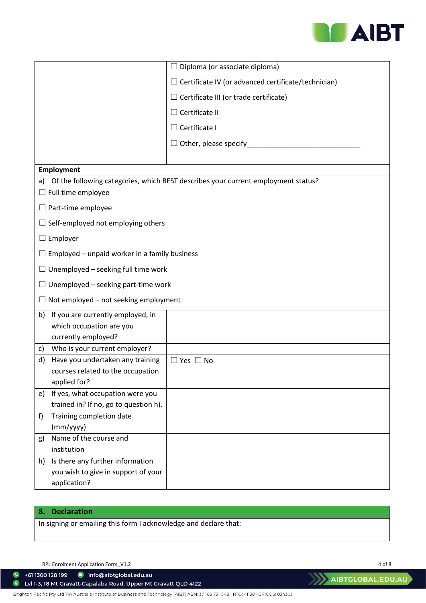

|                                                                               | Diploma (or associate diploma)<br>$\Box$                                          |  |  |
|-------------------------------------------------------------------------------|-----------------------------------------------------------------------------------|--|--|
|                                                                               | $\Box$ Certificate IV (or advanced certificate/technician)                        |  |  |
|                                                                               |                                                                                   |  |  |
|                                                                               | Certificate III (or trade certificate)                                            |  |  |
|                                                                               | Certificate II                                                                    |  |  |
|                                                                               | Certificate I<br>$\Box$                                                           |  |  |
|                                                                               | Other, please specify_                                                            |  |  |
|                                                                               |                                                                                   |  |  |
| <b>Employment</b>                                                             |                                                                                   |  |  |
| a)                                                                            | Of the following categories, which BEST describes your current employment status? |  |  |
| $\Box$ Full time employee                                                     |                                                                                   |  |  |
| $\Box$ Part-time employee                                                     |                                                                                   |  |  |
| $\Box$ Self-employed not employing others                                     |                                                                                   |  |  |
| $\Box$ Employer                                                               |                                                                                   |  |  |
| $\Box$ Employed – unpaid worker in a family business                          |                                                                                   |  |  |
| $\Box$ Unemployed – seeking full time work                                    |                                                                                   |  |  |
| $\Box$ Unemployed – seeking part-time work                                    |                                                                                   |  |  |
| Not employed - not seeking employment                                         |                                                                                   |  |  |
| If you are currently employed, in<br>b)                                       |                                                                                   |  |  |
| which occupation are you                                                      |                                                                                   |  |  |
| currently employed?                                                           |                                                                                   |  |  |
| Who is your current employer?<br>C)<br>Have you undertaken any training<br>d) | $\Box$ Yes $\Box$ No                                                              |  |  |
| courses related to the occupation                                             |                                                                                   |  |  |
| applied for?                                                                  |                                                                                   |  |  |
| e) If yes, what occupation were you                                           |                                                                                   |  |  |
| trained in? If no, go to question h).                                         |                                                                                   |  |  |
| Training completion date<br>f                                                 |                                                                                   |  |  |
| (mm/yyyy)                                                                     |                                                                                   |  |  |
| Name of the course and<br>g)                                                  |                                                                                   |  |  |
| institution                                                                   |                                                                                   |  |  |
| Is there any further information<br>h)                                        |                                                                                   |  |  |
| you wish to give in support of your<br>application?                           |                                                                                   |  |  |
|                                                                               |                                                                                   |  |  |

# **8. Declaration**

 $\bullet$ 

In signing or emailing this form I acknowledge and declare that:

RPL Enrolment Application Form\_V1.2 4 of 8

C Lvl 1-3, 18 Mt Gravatt-Capalaba Road, Upper Mt Gravatt QLD 4122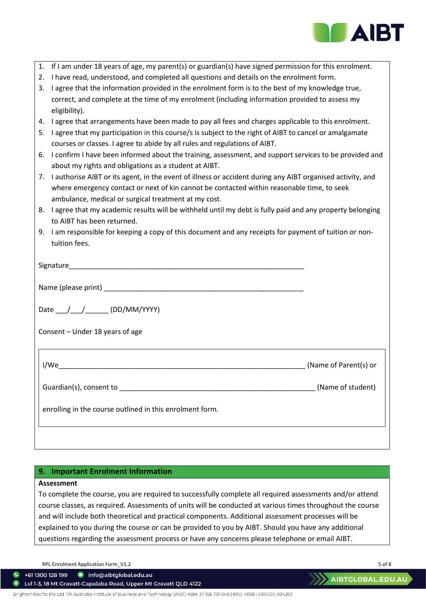

| 1. | If I am under 18 years of age, my parent(s) or guardian(s) have signed permission for this enrolment.         |                       |  |
|----|---------------------------------------------------------------------------------------------------------------|-----------------------|--|
| 2. | I have read, understood, and completed all questions and details on the enrolment form.                       |                       |  |
| 3. | I agree that the information provided in the enrolment form is to the best of my knowledge true,              |                       |  |
|    | correct, and complete at the time of my enrolment (including information provided to assess my                |                       |  |
|    | eligibility).                                                                                                 |                       |  |
| 4. | I agree that arrangements have been made to pay all fees and charges applicable to this enrolment.            |                       |  |
| 5. | I agree that my participation in this course/s is subject to the right of AIBT to cancel or amalgamate        |                       |  |
|    | courses or classes. I agree to abide by all rules and regulations of AIBT.                                    |                       |  |
| 6. | I confirm I have been informed about the training, assessment, and support services to be provided and        |                       |  |
|    | about my rights and obligations as a student at AIBT.                                                         |                       |  |
|    | 7. I authorise AIBT or its agent, in the event of illness or accident during any AIBT organised activity, and |                       |  |
|    | where emergency contact or next of kin cannot be contacted within reasonable time, to seek                    |                       |  |
|    | ambulance, medical or surgical treatment at my cost.                                                          |                       |  |
| 8. | I agree that my academic results will be withheld until my debt is fully paid and any property belonging      |                       |  |
|    | to AIBT has been returned.                                                                                    |                       |  |
| 9. | I am responsible for keeping a copy of this document and any receipts for payment of tuition or non-          |                       |  |
|    | tuition fees.                                                                                                 |                       |  |
|    |                                                                                                               |                       |  |
|    |                                                                                                               |                       |  |
|    |                                                                                                               |                       |  |
|    |                                                                                                               |                       |  |
|    |                                                                                                               |                       |  |
|    | Date ___/___/_______ (DD/MM/YYYY)                                                                             |                       |  |
|    |                                                                                                               |                       |  |
|    | Consent - Under 18 years of age                                                                               |                       |  |
|    |                                                                                                               |                       |  |
|    |                                                                                                               |                       |  |
|    | I/We<br><u> 1980 - Johann John Stone, mars eta biztanleria (h. 1980).</u>                                     | (Name of Parent(s) or |  |
|    |                                                                                                               |                       |  |
|    |                                                                                                               | (Name of student)     |  |
|    |                                                                                                               |                       |  |
|    | enrolling in the course outlined in this enrolment form.                                                      |                       |  |
|    |                                                                                                               |                       |  |
|    |                                                                                                               |                       |  |
|    |                                                                                                               |                       |  |

# **9. Important Enrolment Information**

## **Assessment**

To complete the course, you are required to successfully complete all required assessments and/or attend course classes, as required. Assessments of units will be conducted at various times throughout the course and will include both theoretical and practical components. Additional assessment processes will be explained to you during the course or can be provided to you by AIBT. Should you have any additional questions regarding the assessment process or have any concerns please telephone or email AIBT.

RPL Enrolment Application Form\_V1.2 5 of 8

+61 1300 128 199 nfo@aibtglobal.edu.au

 $\bullet$ Lvl 1-3, 18 Mt Gravatt-Capalaba Road, Upper Mt Gravatt QLD 4122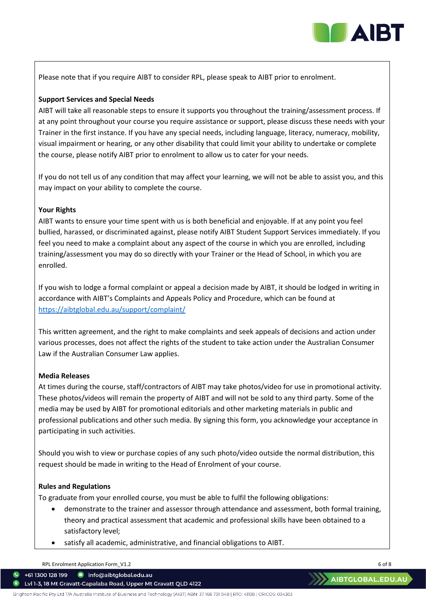

Please note that if you require AIBT to consider RPL, please speak to AIBT prior to enrolment.

## **Support Services and Special Needs**

AIBT will take all reasonable steps to ensure it supports you throughout the training/assessment process. If at any point throughout your course you require assistance or support, please discuss these needs with your Trainer in the first instance. If you have any special needs, including language, literacy, numeracy, mobility, visual impairment or hearing, or any other disability that could limit your ability to undertake or complete the course, please notify AIBT prior to enrolment to allow us to cater for your needs.

If you do not tell us of any condition that may affect your learning, we will not be able to assist you, and this may impact on your ability to complete the course.

### **Your Rights**

AIBT wants to ensure your time spent with us is both beneficial and enjoyable. If at any point you feel bullied, harassed, or discriminated against, please notify AIBT Student Support Services immediately. If you feel you need to make a complaint about any aspect of the course in which you are enrolled, including training/assessment you may do so directly with your Trainer or the Head of School, in which you are enrolled.

If you wish to lodge a formal complaint or appeal a decision made by AIBT, it should be lodged in writing in accordance with AIBT's Complaints and Appeals Policy and Procedure, which can be found at <https://aibtglobal.edu.au/support/complaint/>

This written agreement, and the right to make complaints and seek appeals of decisions and action under various processes, does not affect the rights of the student to take action under the Australian Consumer Law if the Australian Consumer Law applies.

### **Media Releases**

At times during the course, staff/contractors of AIBT may take photos/video for use in promotional activity. These photos/videos will remain the property of AIBT and will not be sold to any third party. Some of the media may be used by AIBT for promotional editorials and other marketing materials in public and professional publications and other such media. By signing this form, you acknowledge your acceptance in participating in such activities.

Should you wish to view or purchase copies of any such photo/video outside the normal distribution, this request should be made in writing to the Head of Enrolment of your course.

## **Rules and Regulations**

To graduate from your enrolled course, you must be able to fulfil the following obligations:

- demonstrate to the trainer and assessor through attendance and assessment, both formal training, theory and practical assessment that academic and professional skills have been obtained to a satisfactory level;
- satisfy all academic, administrative, and financial obligations to AIBT.

RPL Enrolment Application Form\_V1.2 6 of 8

+61 1300 128 199 nfo@aibtglobal.edu.au

Lvl 1-3, 18 Mt Gravatt-Capalaba Road, Upper Mt Gravatt QLD 4122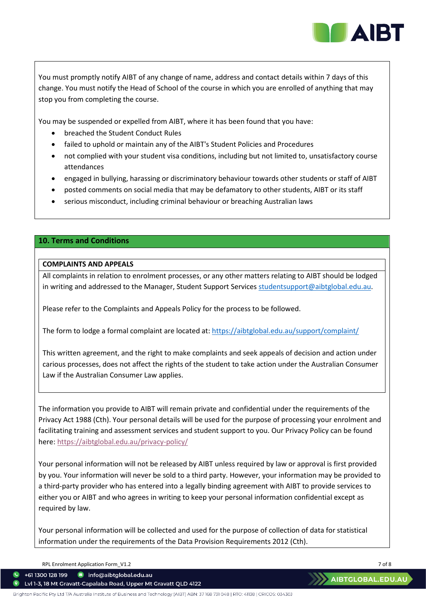

You must promptly notify AIBT of any change of name, address and contact details within 7 days of this change. You must notify the Head of School of the course in which you are enrolled of anything that may stop you from completing the course.

You may be suspended or expelled from AIBT, where it has been found that you have:

- breached the Student Conduct Rules
- failed to uphold or maintain any of the AIBT's Student Policies and Procedures
- not complied with your student visa conditions, including but not limited to, unsatisfactory course attendances
- engaged in bullying, harassing or discriminatory behaviour towards other students or staff of AIBT
- posted comments on social media that may be defamatory to other students, AIBT or its staff
- serious misconduct, including criminal behaviour or breaching Australian laws

### **10. Terms and Conditions**

## **COMPLAINTS AND APPEALS**

All complaints in relation to enrolment processes, or any other matters relating to AIBT should be lodged in writing and addressed to the Manager, Student Support Service[s studentsupport@aibtglobal.edu.au.](mailto:studentsupport@aibtglobal.edu.au)

Please refer to the Complaints and Appeals Policy for the process to be followed.

The form to lodge a formal complaint are located at:<https://aibtglobal.edu.au/support/complaint/>

This written agreement, and the right to make complaints and seek appeals of decision and action under carious processes, does not affect the rights of the student to take action under the Australian Consumer Law if the Australian Consumer Law applies.

The information you provide to AIBT will remain private and confidential under the requirements of the Privacy Act 1988 (Cth). Your personal details will be used for the purpose of processing your enrolment and facilitating training and assessment services and student support to you. Our Privacy Policy can be found here:<https://aibtglobal.edu.au/privacy-policy/>

Your personal information will not be released by AIBT unless required by law or approval is first provided by you. Your information will never be sold to a third party. However, your information may be provided to a third-party provider who has entered into a legally binding agreement with AIBT to provide services to either you or AIBT and who agrees in writing to keep your personal information confidential except as required by law.

Your personal information will be collected and used for the purpose of collection of data for statistical information under the requirements of the Data Provision Requirements 2012 (Cth).

RPL Enrolment Application Form\_V1.2 7 of 8

+61 1300 128 199 nfo@aibtglobal.edu.au

Lvl 1-3, 18 Mt Gravatt-Capalaba Road, Upper Mt Gravatt QLD 4122

Brighton Pacific Pty Ltd T/A Australia Institute of Business and Technology (AIBT) ABN: 37168 731048 | RTO: 41138 | CRICOS: 03430J